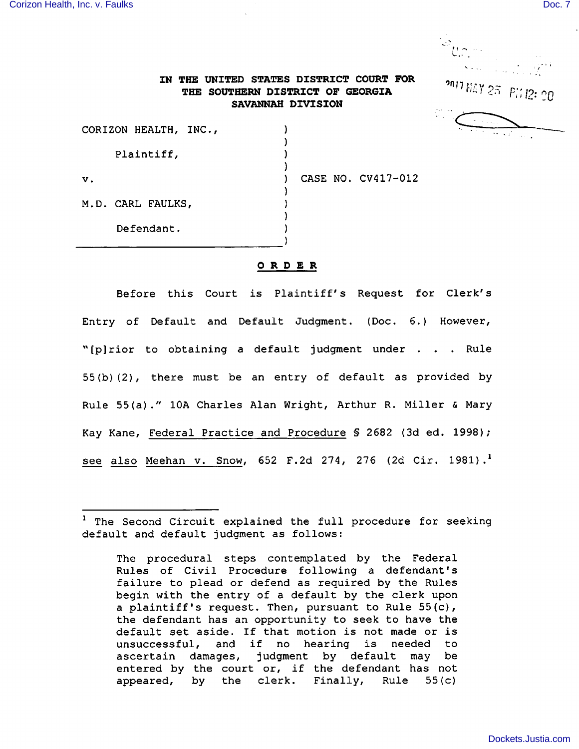

## THE SOUTHERN DISTRICT OF GEORGIA  $T'$ <sup>nai</sup>  $25$   $P_{11}^{\prime}/2$ ; IN THE UNITED STATES DISTRICT COURT FOR SAVANNAH DIVISION

|               | CORIZON HEALTH, INC., |  |  |                    |
|---------------|-----------------------|--|--|--------------------|
|               | Plaintiff,            |  |  |                    |
| $\mathbf v$ . |                       |  |  | CASE NO. CV417-012 |
|               | M.D. CARL FAULKS,     |  |  |                    |
|               | Defendant.            |  |  |                    |

## ORDER

Before this Court is Plaintiff's Request for Clerk's Entry of Default and Default Judgment. (Doc. 6.) However, "[p]rior to obtaining a default judgment under . . . Rule 55(b)(2), there must be an entry of default as provided by Rule 55(a)." lOA Charles Alan Wright, Arthur R. Miller & Mary Kay Kane, Federal Practice and Procedure § 2682 (3d ed. 1998); see also Meehan v. Snow, 652 F.2d 274, 276 (2d Cir. 1981).<sup>1</sup>

 $1$  The Second Circuit explained the full procedure for seeking default and default judgment as follows:

The procedural steps contemplated by the Federal Rules of Civil Procedure following a defendant's failure to plead or defend as required by the Rules begin with the entry of a default by the clerk upon a plaintiff's request. Then, pursuant to Rule 55(c), the defendant has an opportunity to seek to have the default set aside. If that motion is not made or is unsuccessful, and if no hearing is needed to ascertain damages, judgment by default may be entered by the court or, if the defendant has not appeared, by the clerk. Finally, Rule 55(c)